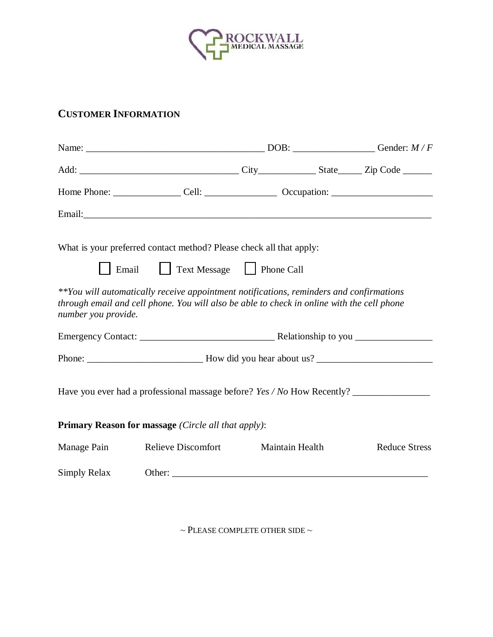

## **CUSTOMER INFORMATION**

|                     | What is your preferred contact method? Please check all that apply:                                                                                                                   |  |                 |                      |
|---------------------|---------------------------------------------------------------------------------------------------------------------------------------------------------------------------------------|--|-----------------|----------------------|
|                     | Email Text Message Phone Call                                                                                                                                                         |  |                 |                      |
| number you provide. | **You will automatically receive appointment notifications, reminders and confirmations<br>through email and cell phone. You will also be able to check in online with the cell phone |  |                 |                      |
|                     |                                                                                                                                                                                       |  |                 |                      |
|                     |                                                                                                                                                                                       |  |                 |                      |
|                     |                                                                                                                                                                                       |  |                 |                      |
|                     | Primary Reason for massage (Circle all that apply):                                                                                                                                   |  |                 |                      |
| Manage Pain         | <b>Relieve Discomfort</b>                                                                                                                                                             |  | Maintain Health | <b>Reduce Stress</b> |
| Simply Relax        |                                                                                                                                                                                       |  |                 |                      |

 $\sim$  PLEASE COMPLETE OTHER SIDE  $\sim$